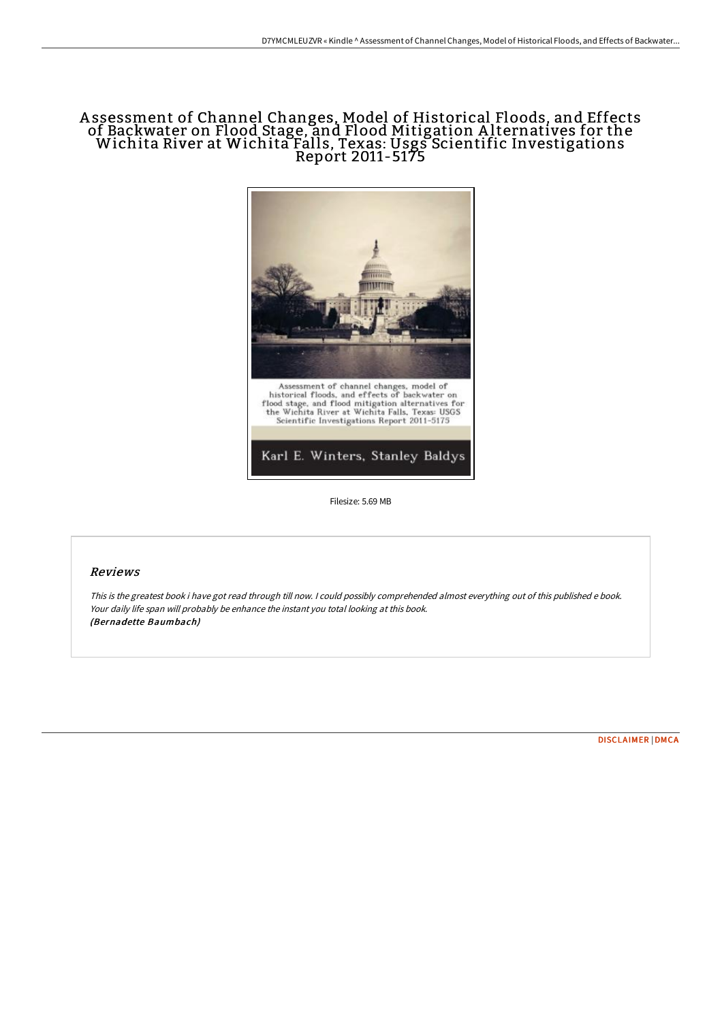# A ssessment of Channel Changes, Model of Historical Floods, and Effects of Backwater on Flood Stage, and Flood Mitigation A lternatives for the Wichita River at Wichita Falls, Texas: Usgs Scientific Investigations Report 2011-5175



Filesize: 5.69 MB

#### Reviews

This is the greatest book i have got read through till now. <sup>I</sup> could possibly comprehended almost everything out of this published <sup>e</sup> book. Your daily life span will probably be enhance the instant you total looking at this book. (Bernadette Baumbach)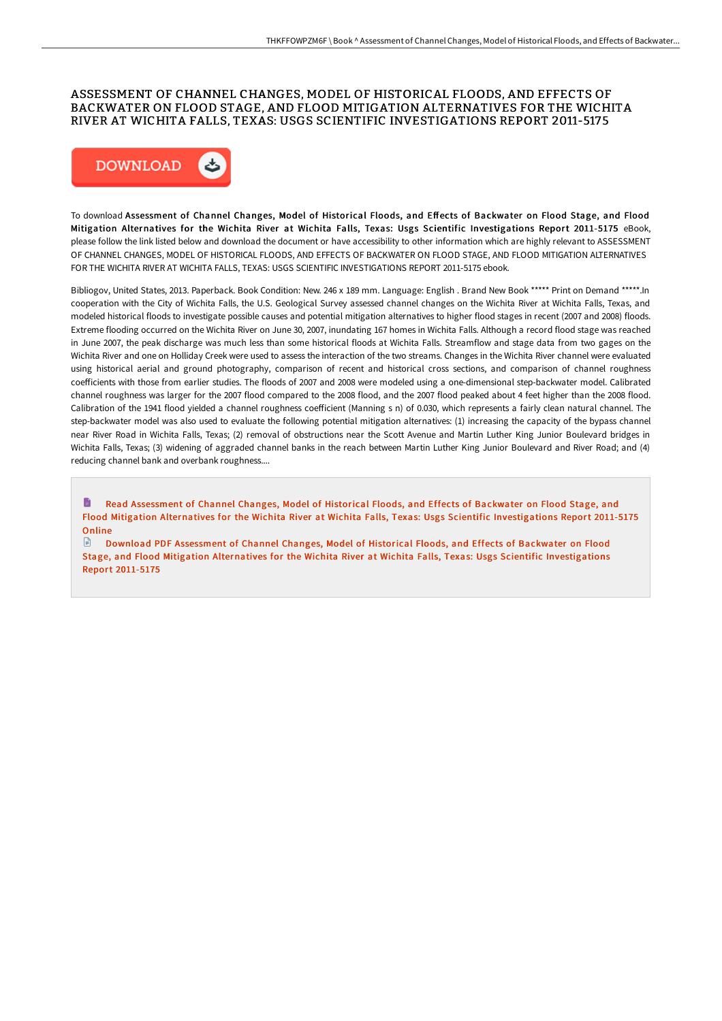### ASSESSMENT OF CHANNEL CHANGES, MODEL OF HISTORICAL FLOODS, AND EFFECTS OF BACKWATER ON FLOOD STAGE, AND FLOOD MITIGATION ALTERNATIVES FOR THE WICHITA RIVER AT WICHITA FALLS, TEXAS: USGS SCIENTIFIC INVESTIGATIONS REPORT 2011-5175



To download Assessment of Channel Changes, Model of Historical Floods, and Effects of Backwater on Flood Stage, and Flood Mitigation Alternatives for the Wichita River at Wichita Falls, Texas: Usgs Scientific Investigations Report 2011-5175 eBook, please follow the link listed below and download the document or have accessibility to other information which are highly relevant to ASSESSMENT OF CHANNEL CHANGES, MODEL OF HISTORICAL FLOODS, AND EFFECTS OF BACKWATER ON FLOOD STAGE, AND FLOOD MITIGATION ALTERNATIVES FOR THE WICHITA RIVER AT WICHITA FALLS, TEXAS: USGS SCIENTIFIC INVESTIGATIONS REPORT 2011-5175 ebook.

Bibliogov, United States, 2013. Paperback. Book Condition: New. 246 x 189 mm. Language: English . Brand New Book \*\*\*\*\* Print on Demand \*\*\*\*\*.In cooperation with the City of Wichita Falls, the U.S. Geological Survey assessed channel changes on the Wichita River at Wichita Falls, Texas, and modeled historical floods to investigate possible causes and potential mitigation alternatives to higher flood stages in recent (2007 and 2008) floods. Extreme flooding occurred on the Wichita River on June 30, 2007, inundating 167 homes in Wichita Falls. Although a record flood stage was reached in June 2007, the peak discharge was much less than some historical floods at Wichita Falls. Streamflow and stage data from two gages on the Wichita River and one on Holliday Creek were used to assess the interaction of the two streams. Changes in the Wichita River channel were evaluated using historical aerial and ground photography, comparison of recent and historical cross sections, and comparison of channel roughness coefficients with those from earlier studies. The floods of 2007 and 2008 were modeled using a one-dimensional step-backwater model. Calibrated channel roughness was larger for the 2007 flood compared to the 2008 flood, and the 2007 flood peaked about 4 feet higher than the 2008 flood. Calibration of the 1941 flood yielded a channel roughness coefficient (Manning s n) of 0.030, which represents a fairly clean natural channel. The step-backwater model was also used to evaluate the following potential mitigation alternatives: (1) increasing the capacity of the bypass channel near River Road in Wichita Falls, Texas; (2) removal of obstructions near the Scott Avenue and Martin Luther King Junior Boulevard bridges in Wichita Falls, Texas; (3) widening of aggraded channel banks in the reach between Martin Luther King Junior Boulevard and River Road; and (4) reducing channel bank and overbank roughness....

h Read Assessment of Channel Changes, Model of Historical Floods, and Effects of Backwater on Flood Stage, and Flood Mitigation Alternatives for the Wichita River at Wichita Falls, Texas: Usgs Scientific [Investigations](http://techno-pub.tech/assessment-of-channel-changes-model-of-historica.html) Report 2011-5175 **Online** 

Download PDF Assessment of Channel Changes, Model of Historical Floods, and Effects of Backwater on Flood Stage, and Flood Mitigation Alternatives for the Wichita River at Wichita Falls, Texas: Usgs Scientific [Investigations](http://techno-pub.tech/assessment-of-channel-changes-model-of-historica.html) Report 2011-5175